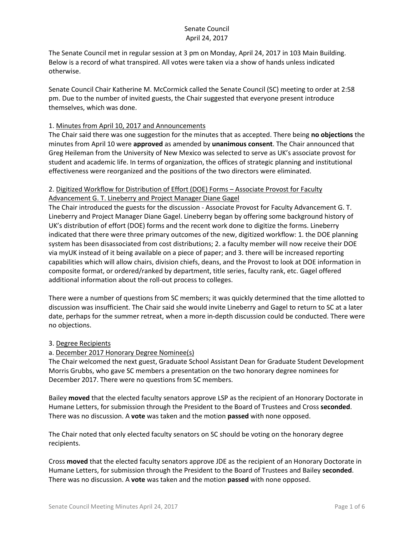The Senate Council met in regular session at 3 pm on Monday, April 24, 2017 in 103 Main Building. Below is a record of what transpired. All votes were taken via a show of hands unless indicated otherwise.

Senate Council Chair Katherine M. McCormick called the Senate Council (SC) meeting to order at 2:58 pm. Due to the number of invited guests, the Chair suggested that everyone present introduce themselves, which was done.

### 1. Minutes from April 10, 2017 and Announcements

The Chair said there was one suggestion for the minutes that as accepted. There being **no objections** the minutes from April 10 were **approved** as amended by **unanimous consent**. The Chair announced that Greg Heileman from the University of New Mexico was selected to serve as UK's associate provost for student and academic life. In terms of organization, the offices of strategic planning and institutional effectiveness were reorganized and the positions of the two directors were eliminated.

### 2. Digitized Workflow for Distribution of Effort (DOE) Forms – Associate Provost for Faculty Advancement G. T. Lineberry and Project Manager Diane Gagel

The Chair introduced the guests for the discussion - Associate Provost for Faculty Advancement G. T. Lineberry and Project Manager Diane Gagel. Lineberry began by offering some background history of UK's distribution of effort (DOE) forms and the recent work done to digitize the forms. Lineberry indicated that there were three primary outcomes of the new, digitized workflow: 1. the DOE planning system has been disassociated from cost distributions; 2. a faculty member will now receive their DOE via myUK instead of it being available on a piece of paper; and 3. there will be increased reporting capabilities which will allow chairs, division chiefs, deans, and the Provost to look at DOE information in composite format, or ordered/ranked by department, title series, faculty rank, etc. Gagel offered additional information about the roll-out process to colleges.

There were a number of questions from SC members; it was quickly determined that the time allotted to discussion was insufficient. The Chair said she would invite Lineberry and Gagel to return to SC at a later date, perhaps for the summer retreat, when a more in-depth discussion could be conducted. There were no objections.

### 3. Degree Recipients

### a. December 2017 Honorary Degree Nominee(s)

The Chair welcomed the next guest, Graduate School Assistant Dean for Graduate Student Development Morris Grubbs, who gave SC members a presentation on the two honorary degree nominees for December 2017. There were no questions from SC members.

Bailey **moved** that the elected faculty senators approve LSP as the recipient of an Honorary Doctorate in Humane Letters, for submission through the President to the Board of Trustees and Cross **seconded**. There was no discussion. A **vote** was taken and the motion **passed** with none opposed.

The Chair noted that only elected faculty senators on SC should be voting on the honorary degree recipients.

Cross **moved** that the elected faculty senators approve JDE as the recipient of an Honorary Doctorate in Humane Letters, for submission through the President to the Board of Trustees and Bailey **seconded**. There was no discussion. A **vote** was taken and the motion **passed** with none opposed.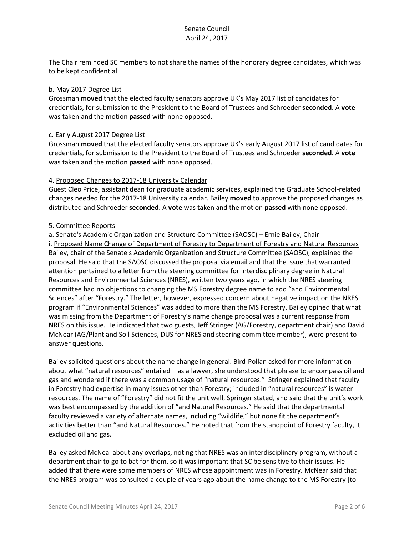The Chair reminded SC members to not share the names of the honorary degree candidates, which was to be kept confidential.

#### b. May 2017 Degree List

Grossman **moved** that the elected faculty senators approve UK's May 2017 list of candidates for credentials, for submission to the President to the Board of Trustees and Schroeder **seconded**. A **vote**  was taken and the motion **passed** with none opposed.

#### c. Early August 2017 Degree List

Grossman **moved** that the elected faculty senators approve UK's early August 2017 list of candidates for credentials, for submission to the President to the Board of Trustees and Schroeder **seconded**. A **vote**  was taken and the motion **passed** with none opposed.

#### 4. Proposed Changes to 2017-18 University Calendar

Guest Cleo Price, assistant dean for graduate academic services, explained the Graduate School-related changes needed for the 2017-18 University calendar. Bailey **moved** to approve the proposed changes as distributed and Schroeder **seconded**. A **vote** was taken and the motion **passed** with none opposed.

#### 5. Committee Reports

### a. Senate's Academic Organization and Structure Committee (SAOSC) – Ernie Bailey, Chair

i. Proposed Name Change of Department of Forestry to Department of Forestry and Natural Resources Bailey, chair of the Senate's Academic Organization and Structure Committee (SAOSC), explained the proposal. He said that the SAOSC discussed the proposal via email and that the issue that warranted attention pertained to a letter from the steering committee for interdisciplinary degree in Natural Resources and Environmental Sciences (NRES), written two years ago, in which the NRES steering committee had no objections to changing the MS Forestry degree name to add "and Environmental Sciences" after "Forestry." The letter, however, expressed concern about negative impact on the NRES program if "Environmental Sciences" was added to more than the MS Forestry. Bailey opined that what was missing from the Department of Forestry's name change proposal was a current response from NRES on this issue. He indicated that two guests, Jeff Stringer (AG/Forestry, department chair) and David McNear (AG/Plant and Soil Sciences, DUS for NRES and steering committee member), were present to answer questions.

Bailey solicited questions about the name change in general. Bird-Pollan asked for more information about what "natural resources" entailed – as a lawyer, she understood that phrase to encompass oil and gas and wondered if there was a common usage of "natural resources." Stringer explained that faculty in Forestry had expertise in many issues other than Forestry; included in "natural resources" is water resources. The name of "Forestry" did not fit the unit well, Springer stated, and said that the unit's work was best encompassed by the addition of "and Natural Resources." He said that the departmental faculty reviewed a variety of alternate names, including "wildlife," but none fit the department's activities better than "and Natural Resources." He noted that from the standpoint of Forestry faculty, it excluded oil and gas.

Bailey asked McNeal about any overlaps, noting that NRES was an interdisciplinary program, without a department chair to go to bat for them, so it was important that SC be sensitive to their issues. He added that there were some members of NRES whose appointment was in Forestry. McNear said that the NRES program was consulted a couple of years ago about the name change to the MS Forestry [to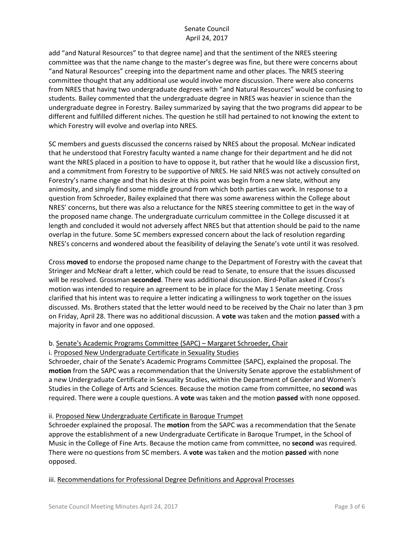add "and Natural Resources" to that degree name] and that the sentiment of the NRES steering committee was that the name change to the master's degree was fine, but there were concerns about "and Natural Resources" creeping into the department name and other places. The NRES steering committee thought that any additional use would involve more discussion. There were also concerns from NRES that having two undergraduate degrees with "and Natural Resources" would be confusing to students. Bailey commented that the undergraduate degree in NRES was heavier in science than the undergraduate degree in Forestry. Bailey summarized by saying that the two programs did appear to be different and fulfilled different niches. The question he still had pertained to not knowing the extent to which Forestry will evolve and overlap into NRES.

SC members and guests discussed the concerns raised by NRES about the proposal. McNear indicated that he understood that Forestry faculty wanted a name change for their department and he did not want the NRES placed in a position to have to oppose it, but rather that he would like a discussion first, and a commitment from Forestry to be supportive of NRES. He said NRES was not actively consulted on Forestry's name change and that his desire at this point was begin from a new slate, without any animosity, and simply find some middle ground from which both parties can work. In response to a question from Schroeder, Bailey explained that there was some awareness within the College about NRES' concerns, but there was also a reluctance for the NRES steering committee to get in the way of the proposed name change. The undergraduate curriculum committee in the College discussed it at length and concluded it would not adversely affect NRES but that attention should be paid to the name overlap in the future. Some SC members expressed concern about the lack of resolution regarding NRES's concerns and wondered about the feasibility of delaying the Senate's vote until it was resolved.

Cross **moved** to endorse the proposed name change to the Department of Forestry with the caveat that Stringer and McNear draft a letter, which could be read to Senate, to ensure that the issues discussed will be resolved. Grossman **seconded**. There was additional discussion. Bird-Pollan asked if Cross's motion was intended to require an agreement to be in place for the May 1 Senate meeting. Cross clarified that his intent was to require a letter indicating a willingness to work together on the issues discussed. Ms. Brothers stated that the letter would need to be received by the Chair no later than 3 pm on Friday, April 28. There was no additional discussion. A **vote** was taken and the motion **passed** with a majority in favor and one opposed.

### b. Senate's Academic Programs Committee (SAPC) – Margaret Schroeder, Chair

#### i. Proposed New Undergraduate Certificate in Sexuality Studies

Schroeder, chair of the Senate's Academic Programs Committee (SAPC), explained the proposal. The **motion** from the SAPC was a recommendation that the University Senate approve the establishment of a new Undergraduate Certificate in Sexuality Studies, within the Department of Gender and Women's Studies in the College of Arts and Sciences. Because the motion came from committee, no **second** was required. There were a couple questions. A **vote** was taken and the motion **passed** with none opposed.

### ii. Proposed New Undergraduate Certificate in Baroque Trumpet

Schroeder explained the proposal. The **motion** from the SAPC was a recommendation that the Senate approve the establishment of a new Undergraduate Certificate in Baroque Trumpet, in the School of Music in the College of Fine Arts. Because the motion came from committee, no **second** was required. There were no questions from SC members. A **vote** was taken and the motion **passed** with none opposed.

iii. Recommendations for Professional Degree Definitions and Approval Processes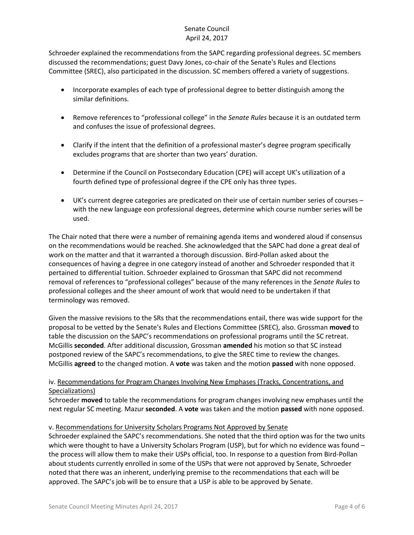Schroeder explained the recommendations from the SAPC regarding professional degrees. SC members discussed the recommendations; guest Davy Jones, co-chair of the Senate's Rules and Elections Committee (SREC), also participated in the discussion. SC members offered a variety of suggestions.

- Incorporate examples of each type of professional degree to better distinguish among the similar definitions.
- Remove references to "professional college" in the *Senate Rules* because it is an outdated term and confuses the issue of professional degrees.
- Clarify if the intent that the definition of a professional master's degree program specifically excludes programs that are shorter than two years' duration.
- Determine if the Council on Postsecondary Education (CPE) will accept UK's utilization of a fourth defined type of professional degree if the CPE only has three types.
- UK's current degree categories are predicated on their use of certain number series of courses with the new language eon professional degrees, determine which course number series will be used.

The Chair noted that there were a number of remaining agenda items and wondered aloud if consensus on the recommendations would be reached. She acknowledged that the SAPC had done a great deal of work on the matter and that it warranted a thorough discussion. Bird-Pollan asked about the consequences of having a degree in one category instead of another and Schroeder responded that it pertained to differential tuition. Schroeder explained to Grossman that SAPC did not recommend removal of references to "professional colleges" because of the many references in the *Senate Rules* to professional colleges and the sheer amount of work that would need to be undertaken if that terminology was removed.

Given the massive revisions to the SRs that the recommendations entail, there was wide support for the proposal to be vetted by the Senate's Rules and Elections Committee (SREC), also. Grossman **moved** to table the discussion on the SAPC's recommendations on professional programs until the SC retreat. McGillis **seconded**. After additional discussion, Grossman **amended** his motion so that SC instead postponed review of the SAPC's recommendations, to give the SREC time to review the changes. McGillis **agreed** to the changed motion. A **vote** was taken and the motion **passed** with none opposed.

# iv. Recommendations for Program Changes Involving New Emphases (Tracks, Concentrations, and Specializations)

Schroeder **moved** to table the recommendations for program changes involving new emphases until the next regular SC meeting. Mazur **seconded**. A **vote** was taken and the motion **passed** with none opposed.

## v. Recommendations for University Scholars Programs Not Approved by Senate

Schroeder explained the SAPC's recommendations. She noted that the third option was for the two units which were thought to have a University Scholars Program (USP), but for which no evidence was found the process will allow them to make their USPs official, too. In response to a question from Bird-Pollan about students currently enrolled in some of the USPs that were not approved by Senate, Schroeder noted that there was an inherent, underlying premise to the recommendations that each will be approved. The SAPC's job will be to ensure that a USP is able to be approved by Senate.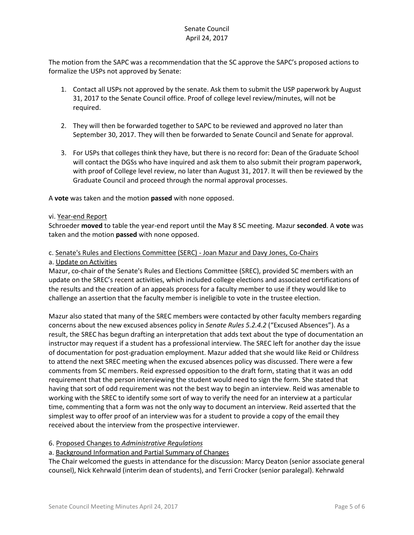The motion from the SAPC was a recommendation that the SC approve the SAPC's proposed actions to formalize the USPs not approved by Senate:

- 1. Contact all USPs not approved by the senate. Ask them to submit the USP paperwork by August 31, 2017 to the Senate Council office. Proof of college level review/minutes, will not be required.
- 2. They will then be forwarded together to SAPC to be reviewed and approved no later than September 30, 2017. They will then be forwarded to Senate Council and Senate for approval.
- 3. For USPs that colleges think they have, but there is no record for: Dean of the Graduate School will contact the DGSs who have inquired and ask them to also submit their program paperwork, with proof of College level review, no later than August 31, 2017. It will then be reviewed by the Graduate Council and proceed through the normal approval processes.

A **vote** was taken and the motion **passed** with none opposed.

### vi. Year-end Report

Schroeder **moved** to table the year-end report until the May 8 SC meeting. Mazur **seconded**. A **vote** was taken and the motion **passed** with none opposed.

### c. Senate's Rules and Elections Committee (SERC) - Joan Mazur and Davy Jones, Co-Chairs

a. Update on Activities

Mazur, co-chair of the Senate's Rules and Elections Committee (SREC), provided SC members with an update on the SREC's recent activities, which included college elections and associated certifications of the results and the creation of an appeals process for a faculty member to use if they would like to challenge an assertion that the faculty member is ineligible to vote in the trustee election.

Mazur also stated that many of the SREC members were contacted by other faculty members regarding concerns about the new excused absences policy in *Senate Rules 5.2.4.2* ("Excused Absences"). As a result, the SREC has begun drafting an interpretation that adds text about the type of documentation an instructor may request if a student has a professional interview. The SREC left for another day the issue of documentation for post-graduation employment. Mazur added that she would like Reid or Childress to attend the next SREC meeting when the excused absences policy was discussed. There were a few comments from SC members. Reid expressed opposition to the draft form, stating that it was an odd requirement that the person interviewing the student would need to sign the form. She stated that having that sort of odd requirement was not the best way to begin an interview. Reid was amenable to working with the SREC to identify some sort of way to verify the need for an interview at a particular time, commenting that a form was not the only way to document an interview. Reid asserted that the simplest way to offer proof of an interview was for a student to provide a copy of the email they received about the interview from the prospective interviewer.

### 6. Proposed Changes to *Administrative Regulations*

### a. Background Information and Partial Summary of Changes

The Chair welcomed the guests in attendance for the discussion: Marcy Deaton (senior associate general counsel), Nick Kehrwald (interim dean of students), and Terri Crocker (senior paralegal). Kehrwald